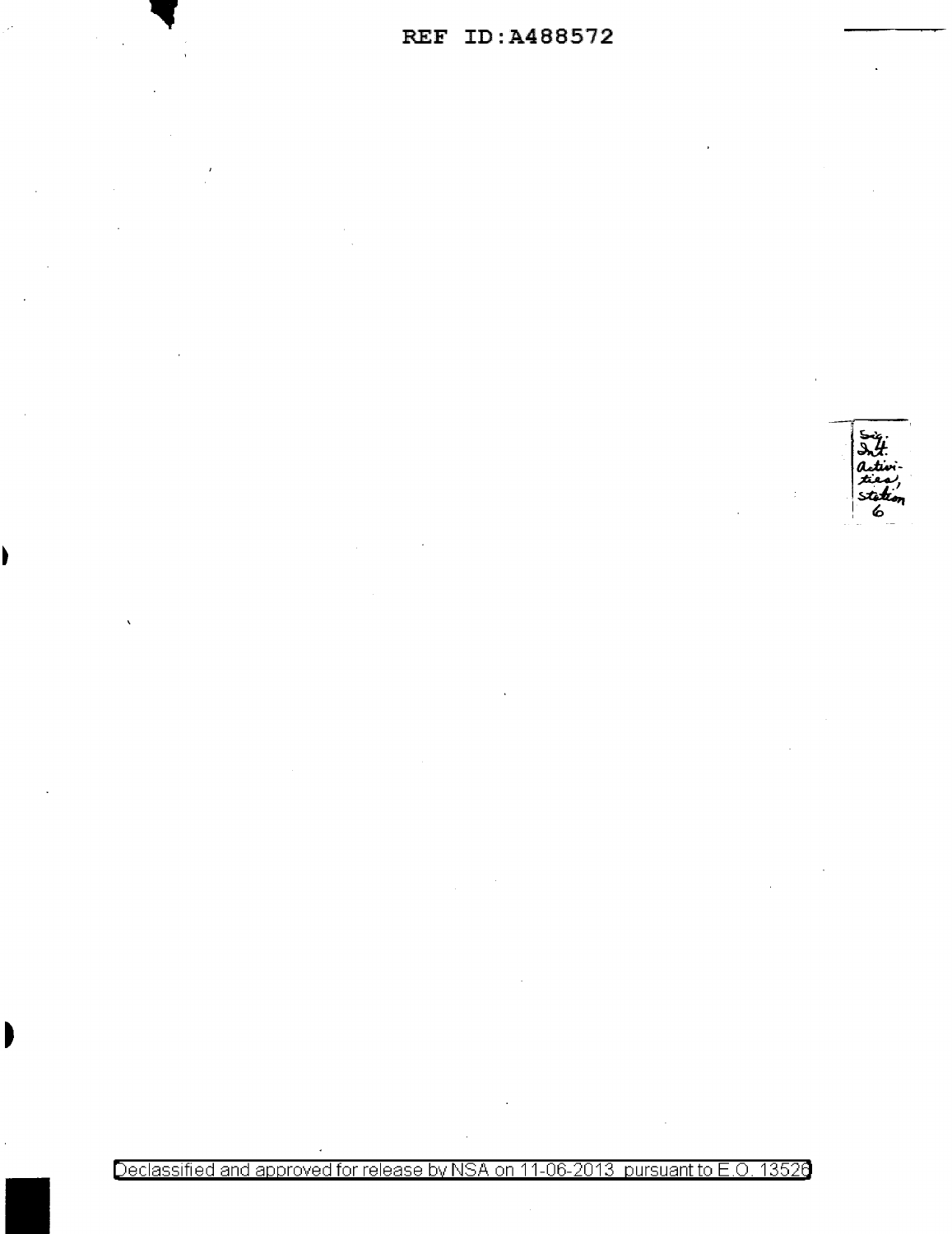

Declassified and approved for release by NSA on 11-06-2013 pursuant to E.O. 13526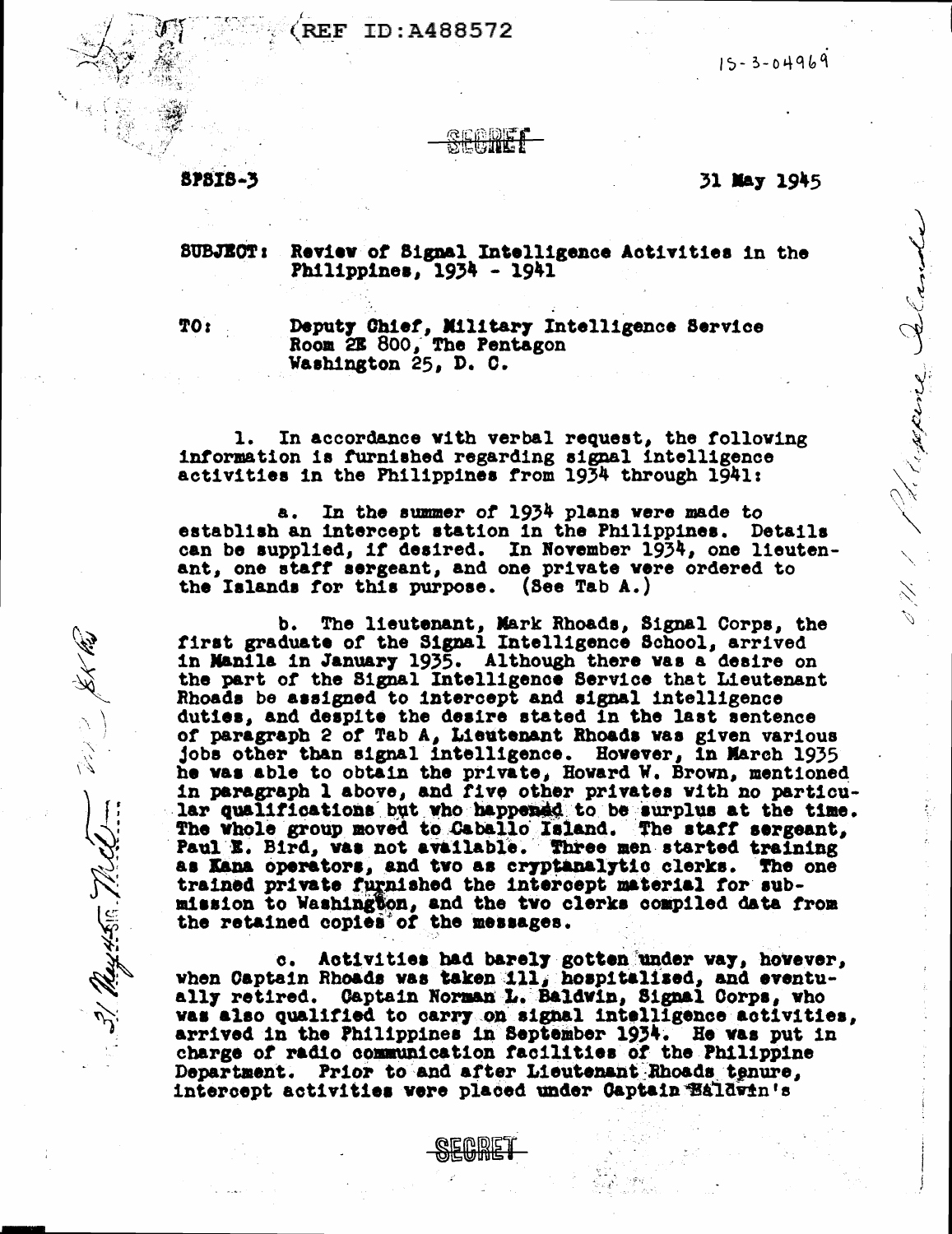#### ID:A488572 **REF**

 $15 - 3 - 04969$ 

# **SPSIS-3**

### 31 May 1945

d 11 / 1 de parais.

### **SUBJECT:** Review of Signal Intelligence Activities in the Philippines, 1934 - 1941

TO<sub>i</sub>

31. May 456. 72.42

Deputy Chief, Military Intelligence Service<br>Room 2E 800, The Pentagon Washington 25, D. C.

1. In accordance with verbal request, the following information is furnished regarding signal intelligence activities in the Philippines from 1934 through 1941:

In the summer of 1934 plans were made to 8. establish an intercept station in the Philippines. Details can be supplied, if desired. In November 1934, one lieutenant, one staff sergeant, and one private vere ordered to the Islands for this purpose. (See Tab A.)

b. The lieutenant, Mark Rhoads, Signal Corps, the first graduate of the Signal Intelligence School, arrived in Manila in January 1935. Although there was a desire on the part of the Signal Intelligence Service that Lieutenant Rhoads be assigned to intercept and signal intelligence duties, and despite the desire stated in the last sentence of paragraph 2 of Tab A, Lieutenant Rhoads was given various jobs other than signal intelligence. However, in March 1935 he was able to obtain the private, Howard W. Brown, mentioned in paragraph 1 above, and five other privates with no particular qualifications but who happened to be surplus at the time. The whole group moved to Caballo Island. The staff sergeant, Paul E. Bird, was not available. Three men started training as Kana operators, and two as cryptanalytic clerks. The one trained private furnished the intercept material for submission to Washington, and the two clerks compiled data from the retained copies of the messages.

c. Activities had barely gotten under way, hovever, when Captain Rhoads was taken 111, hospitalised, and eventually retired. Captain Norman L. Baldwin, Signal Corps, who was also qualified to carry on signal intelligence activities, arrived in the Philippines in September 1934. He was put in charge of radio communication facilities of the Philippine Department. Prior to and after Lieutenant Rhoads tenure, intercept activities were placed under Captain Baldwin's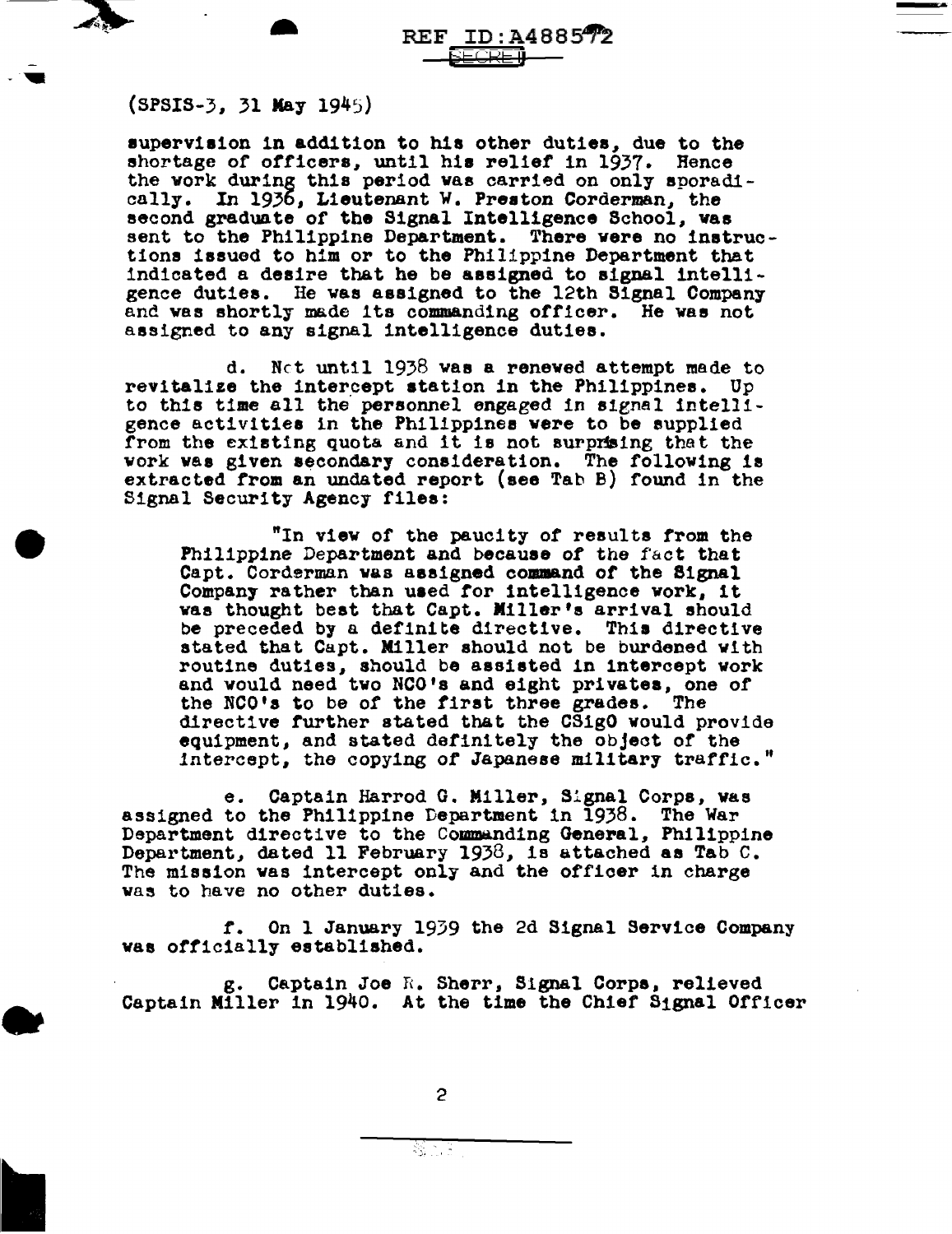

•

REF ID:A488572

(SPSIS-3, 31 May 1945)

supervision in addition to his other duties, due to the shortage of officers, until his relief in 1937. Hence the vork during this period was carried on only sporadi-cally. In 1936, Lieutenant W. Preston Corderman, the In 1936, Lieutenant W. Preston Corderman, the second graduate of the Signal Intelligence School, was sent to the Philippine Department. There vere no instructions issued to him or to the Philippine Department that indicated a desire that he be assigned to signal intelligence duties. He vas assigned to the 12th Signal Company and was shortly made its commanding officer. He was not assigned to any signal intelligence duties.

d. Net unt11 1938 vae a renewed attempt made to revitalize the intercept station in the Philippines. Up to this time all the personnel engaged in signal intelligence activities in the Philippines vere to be supplied from the existing quota and it is not surprising that the work was given secondary consideration. The following is extracted from an undated report (see Tab B) found in the Signal Security Agency files:

"In view or the paucity of results from the Philippine Department and because of the fact that Capt. Corderman was assigned command of the Signal Company rather than used for intelligence vork, it vaa thought beat that Capt. Miller's arrival should be preceded by a definite directive. Thia directive stated that Capt. Killer should not be burdened with routine duties, should be assisted in intercept work and would need tvo NCO's and eight privates, one of the NCO's to be of the first three grades. The directive further stated that the CSigO would provide equipment, and stated definitely the object of the intercept, the copying of Japanese military traffic."

e. Captain Harrod G. Miller, Signal Corps, vas assigned to the Philippine Department 1n 1938. The War Department directive to the Commanding General, Philippine Department, dated 11 February 1938, is attached as Tab  $C$ . The mission vas intercept only and the officer in charge vas to have no other duties.

*t.* On l January 19)9 the 2d Signal Service Company was officially established.

g. Captain Joe R. Sherr, Signal Corps, relieved Captain Miller in 1940. At the time the Chief Signal Officer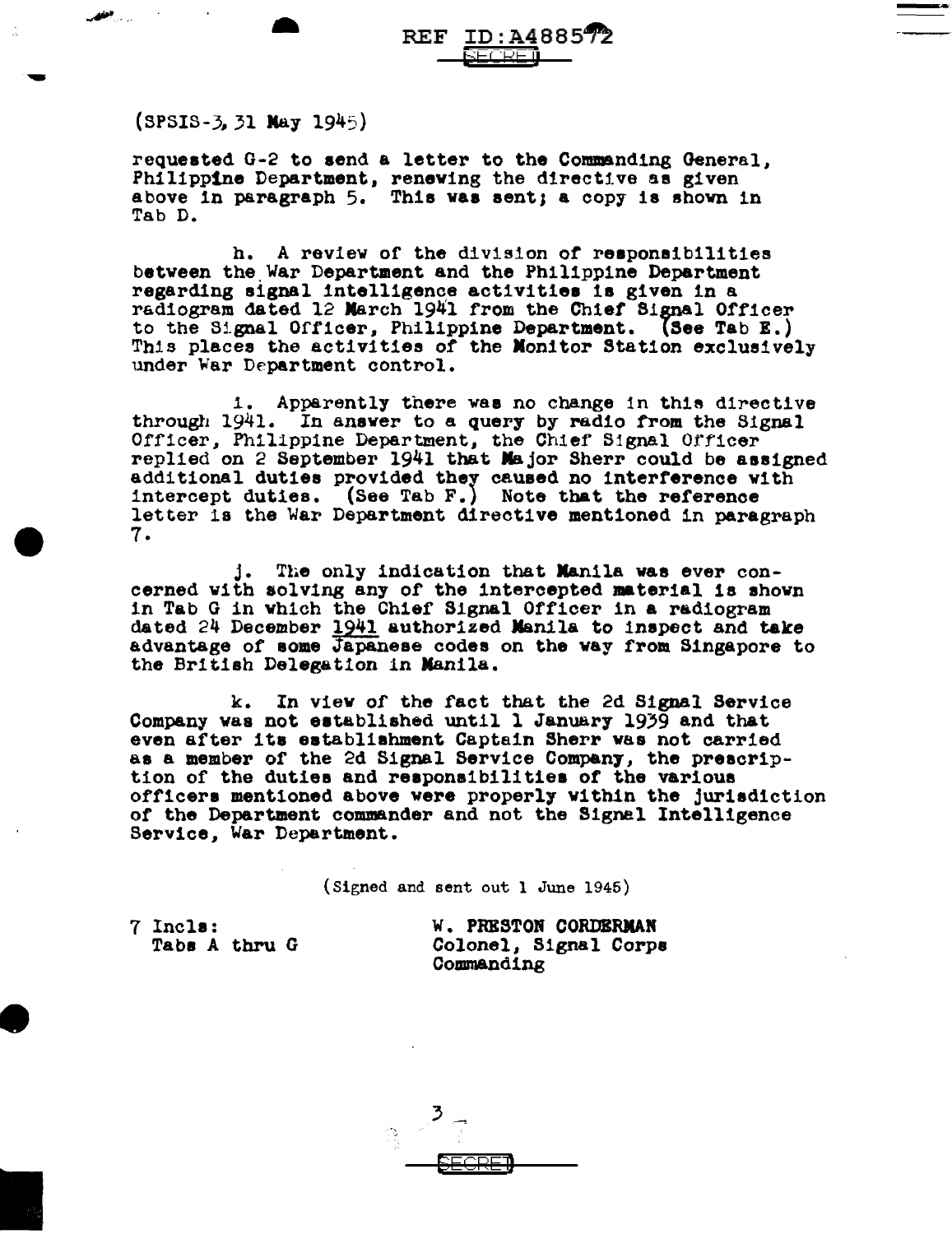REF <u>ID:A4</u>88572<br>-<br>(2008 - 2008 )

 $(SPSIS-3, 31 May 1945)$ 

requested G-2 to send a letter to the Commanding General, Philippine Department, renewing the directive as given above in paragraph 5. This was sent; a copy is shown in Tab D.

h. A review of the division of responsibilities between the War Department and the Philippine Department regarding signal intelligence activities is given in a radiogram dated 12 March 1941 from the Chief Signal Officer to the 8lgnal Officer, Philippine Department. (5ee Tab E.) This places the activities of the Monitor Station exclusively under War Department control.

1. Apparently there was no change in this directive through 1941. In answer to a query by radio from the Signal Officer, Philippine Department, the Chief Signal Officer replied on 2 September 1941 that Major Sherr could be assigned replied on 2 September 1941 that Major Sherr could be assigned additional duties provided they caused no interference with intercept duties. (See Tab F.) Note that the reference letter 1a the War Department directive mentioned in paragraph 7.

The only indication that Manila was ever concerned with solving any of the intercepted material is shown in Tab G in which the Chief Signal Officer in a radiogram dated  $24$  December  $1941$  authorized Manila to inspect and take advantage of some Japanese codes on the way from Singapore to the British Delegation in Manila.

k. In view of the tact that the 2d Signal Service Company was not established until 1 January 1939 and that even after ita eatabliahment Captain Sherr was not carried as a member of the 2d Signal Service Compan7, the prescrip- tion of the duties and reapona1bil1t1ea of the various officers mentioned above were properly within the jurisdiction of the Department commander and not the Signal Intelligence Service, War Department.

(Signed and sent out l June 1945)

7 Incla: Tabs A thru G W. PRESTON CORDERMAN Colonel, Signal Corpe Commanding

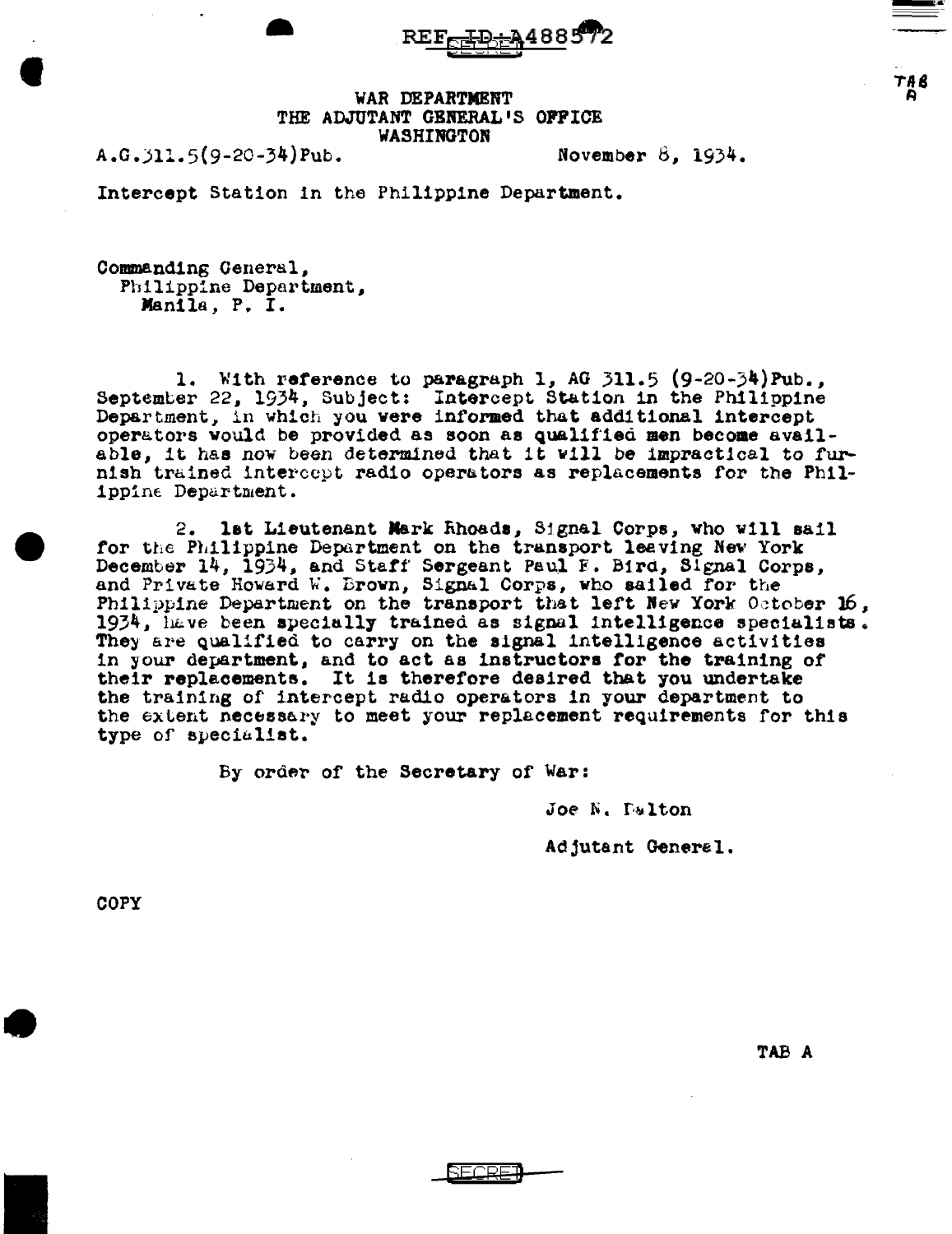$REF_{\overline{F}}$ ID A4885

'WAR DEPARTMENT THE ADJUTANT GENERAL'S OFFICE WASHINGTON

A.G.Jll.5(9-20-34)Pub. November 8, 1934.

•

**'** 

 $TAR$ A

Intercept Station in the Philippine Department.

Commanding General, Philippine Department, Mani la *,* P. I.

1. With reference to paragraph 1, AG 311.5 (9-20-34)Pub., September 22. 1934, Subject: Intercept Station in the Philippine Department, in which you were informed that add1t1onal intercept operators would be provided as soon as qualified men become available, it has now been determined that it will be impractical to furnish trained intercept radio operators as replacements for the Phil-1ppine Department.

2. lat Lieutenant Mark Rhoads, Signal Corps, who will sail for the Philippine Department on the transport leaving New York December 14, 1934, and Staff Sergeant Paul E. Bird, Signal Corps, and Private Howard W. Brown, Signal Corps, who sailed for the Philippine Department on the transport that left New York October 16,  $1934$ , have been specially trained as signal intelligence specialists. They are qualified to carry on the signal intelligence activities in your department, and to act as instructors tor the training of their replacements. It is therefore desired that you undertake the training of intercept radio operators in your department to the extent necessary to meet your replacement requirements for this type of specialist.

By order of the Secretary of War:

Joe N. Palton

Adjutant Generel.

COPY

I

TAB A

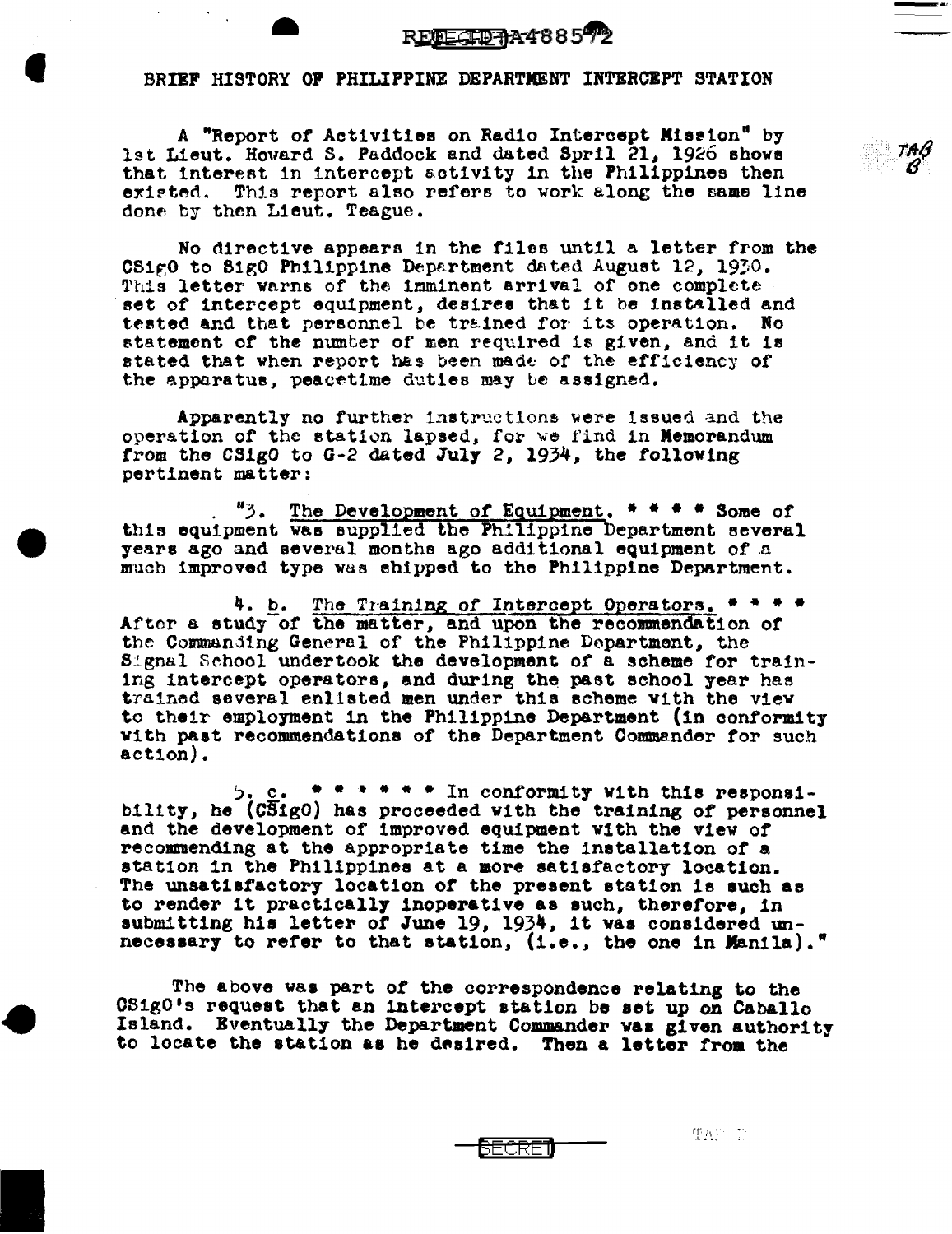## $REBEZEDAA4885$

### BRIEF HISTORY OP PHILIPPINE DEPARTMENT INTERCEPT STATION

**'** 

A "Report of Activities on Radio Intercept Miaeton• by lst Lieut. Howard S. Paddock and dated Spril 21, 1926 shows that interest in intercept activity in the Philippines then existed. This report also refers to work along the same line done. by then Lieut. Teague.

No directive appears in the files until a letter from the CS1g0 to S1g0 Philippine Department dated August 12, 1930. This letter warns of the imminent arrival of one complete set of intercept equipment, desires that it be installed and tested and that personnel be trained for its operation. No statement of the numter of men required is given, and it is stated that when report has been made of the efficiency of the apparatus, peacetime duties may be assigned.

Apparently no further instructions were issued and the operation of the station lapsed, for we find in Memorandum from the CSigO to G-2 dated July 2, 1934, the following pertinent matter:

. "3. The Develo~ent *of* Eguipment. \* \* • • Some of this equipment was supplied the Philippine Department several years ago and several months ago additional equipment of a much improved type was shipped to the Philippine Department.

4. b. The Training of Intercept Operators. \* \* \* \* After a study of the matter, and upon the recommendation of the Commanding General of the Philippine Department, the Signal School undertook the development of a scheme for training intercept operators, and during the past school year has trained several enlisted men under this scheme Yith the view to their employment in the Philippine Department (in conformity with past recommendations of the Department Commander for such action).

~. c. • • • • • • In conformity v1th this reepona1- b111ty, he (CS1g0) has proceeded v!th the training of personnel and the development of improved equipment with the v1ev *of*  recommending at the appropriate time the installation or a station in the Philippines at a more satisfactory location. The unsatisfactory location of the present station is such as to render it practically inoperative as such, therefore, in to render it practically inoperative as such, therefore, in submitting his letter of June 19, 1934, it was considered unnecessary to refer to that station, (i.e., the one in Manila)."

The above was part of the correspondence relating to the OSigO's request that an intercept station be aet up on Caballo Island. Bventuall7 the Department Commander vaa given authority to locate the station as he desired. Then a letter from the

SECRET

 $T\Lambda F$   $\in$   $\mathbb{R}$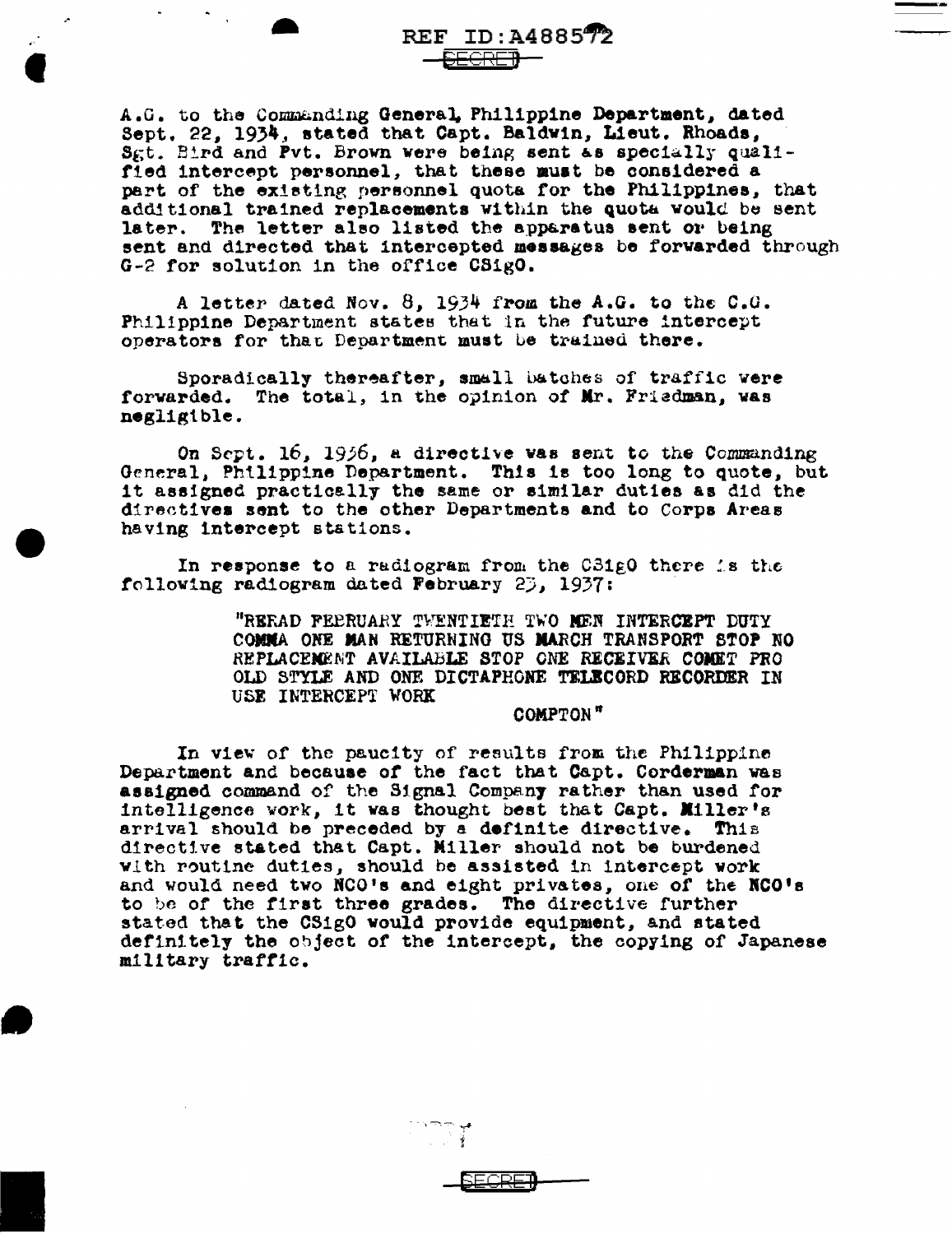A.G. to the Commanding General, Philippine Department, dated Sept. 22. 1934, stated that Capt. Baldwin, Lieut. Rhoads, Sgt. Bird and Pvt. Brown were being sent as specially qualified intercept personnel, that these must be considered a part of the existing personnel quota for the Philippines, that additional trained replacements within the quota would be sent later. The letter also listed the apparatus sent or being sent and directed that intercepted messages be forwarded through G-2 for solution in the office CSigO.

A letter dated Nov.  $8$ , 1934 from the A.G. to the C.G. Philippine Department states that in the future intercept operators for that Department must be trained there.

Sporadically thereafter, small batches of traffic were forwarded. The total, in the opinion of Mr. Friedman, was negligible.

On Sept. 16, 1956, a directive was sent to the Commanding General, Philippine Department. This is too long to quote, but it assigned practically the same or similar duties as did the directives sent to the other Departments and to Corps Areas having intercept stations.

In response to a radiogram from the C31gO there is the following radiogram dated February 25, 1937:

> "RERAD FEERUARY TWENTIETH TWO MEN INTERCEPT DUTY COMMA ONE MAN RETURNING US MARCH TRANSPORT STOP NO REPLACEMENT AVAILABLE STOP ONE RECEIVER COMET PRO OLD STYLE AND ONE DICTAPHONE TELECORD RECORDER IN USE INTERCEPT WORK

> > COMPTON"

In view of the paucity of results from the Philippine Department and because of the fact that Capt. Corderman was assigned command of the Signal Company rather than used for intelligence vork, it was thought best that Capt. Miller's arrival should be preceded by a definite directive. This directive stated that Capt. Miller should not be burdened with routine duties, should be assisted in intercept work and would need two NCO's and eight privates, one of the NCO's to be of the first three grades. The directive further stated that the CSigO would provide equipment, and stated definitely the object of the intercept, the copying of Japanese military traffic.

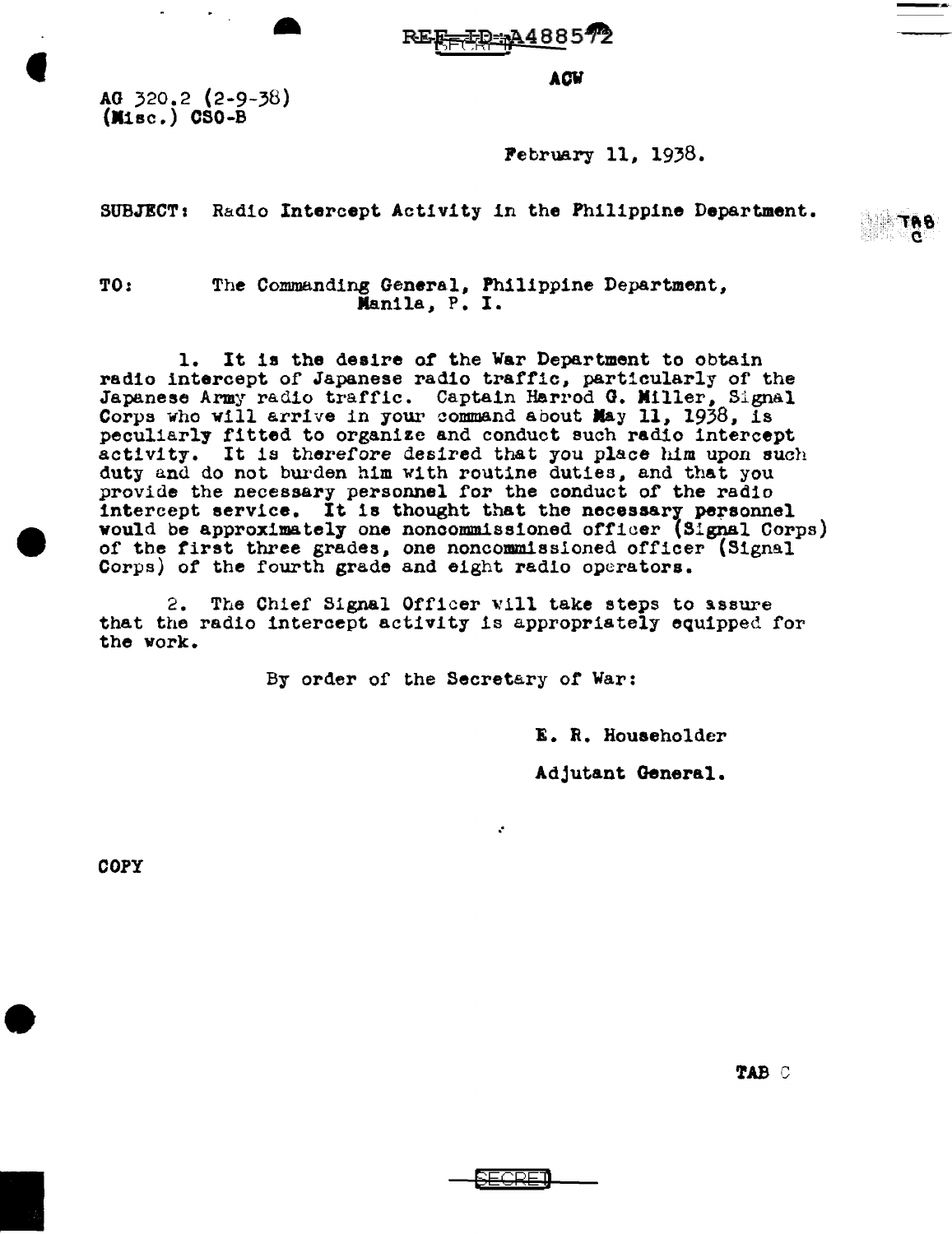REE TD: A488572

**ACW** 

AG 320.2 (2-9-38)<br>(Misc.) CSO-B

..

February 11, 1938.

SUBJECT: Radio Intercept Activity in the Philippine Department.



TO: The Commanding General, Philippine Department,<br>Manila, P. I.

1. It is the desire *or* the War Department to obtain radio intercept of Japanese radio traffic, particularly of the Japanese Army radio traffic. Captain Harrod G. Miller, Signal Corps who will arrive in your command about May 11, 1938, is peculiarly fitted to organize and conduct such radio intercept activity. It is therefore desired that you place him upon such duty and do not burden him with routine duties, and that you provide the necessary personnel for the conduct of the radio intercept service. It is thought that the necessary personnel would be approximately one noncommissioned officer (Signal Corps) of the first three grades, one noncommissioned officer (Signal Corps) of the fourth grade and eight radio operators.

2. The Chief Signal Officer will take steps to assure that the radio interaept activity is appropriately equipped. for the work.

By order of the Secretary or War:

. ·

E. R. Householder

Adjutant General.

COPY

'lAB c

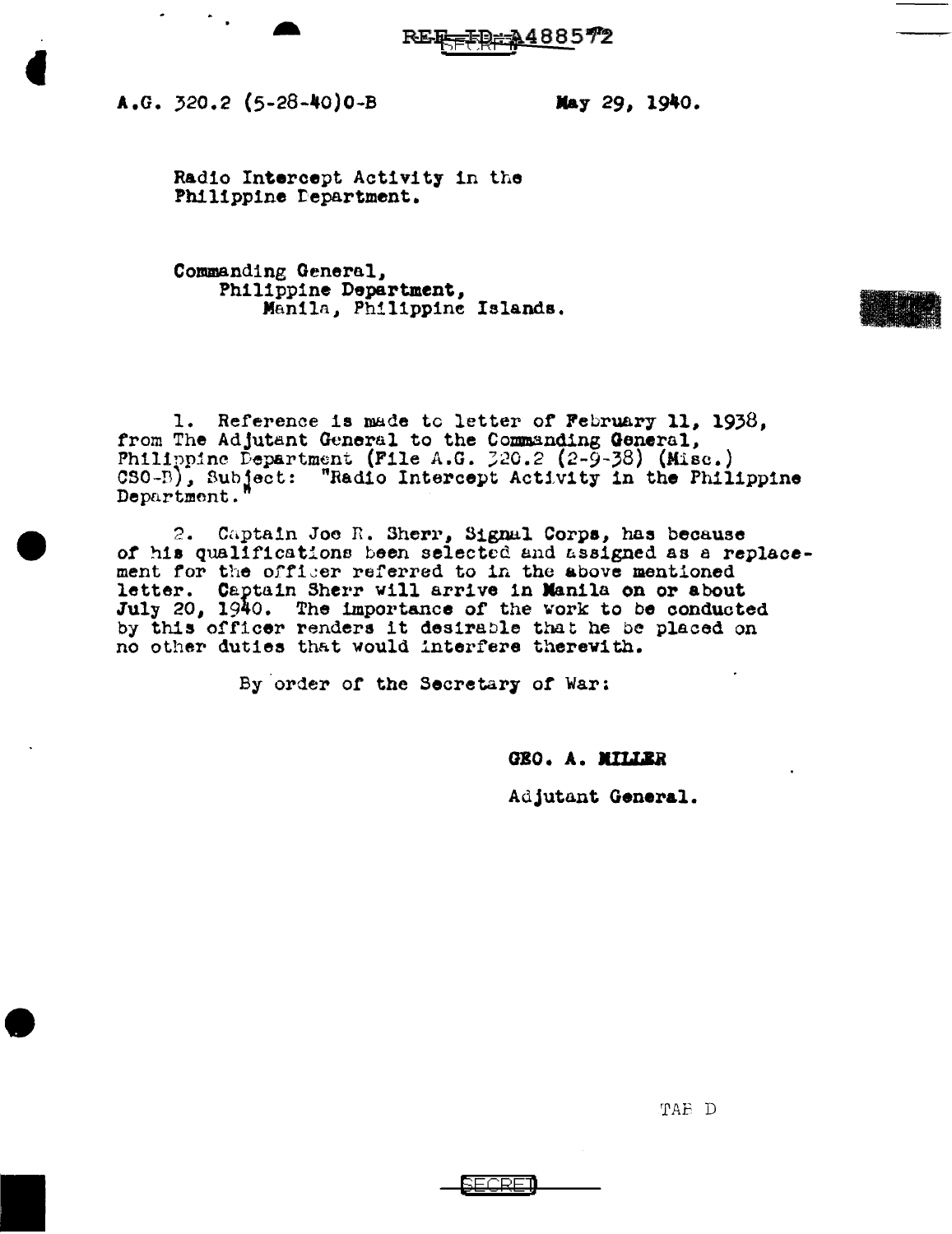

 $A.G. 320.2 (5-28-40)0-B$ 

..

May 29, 1940.

Radio Intercept Activity in the Philippine Department.

Commanding General,<br>Philippine Department, Manila, Philippine Islands.

1. Reference is made tc letter of February 11, 1938, from The Adjutant General to the Commanding General. Philippine Department (File A.G.  $220.2$  (2-9-38) (Misc.) CSO-B), Subject: "Radio Intercept Activity in the Philippine Department."

2. Captain Joe R. Sherr, Signal Corps, has because of his qualifications been selected and assigned as a replacement for the officer referred to in the above mentioned letter. Captain Sherr will arrive in Manila on or about July 20, 1940. The importance of the work to be conducted by this officer renders it desirable that he be placed on no other duties that would interfere therewith.

By order of the Secretary of War:

GEO. A. MILLER

Adjutant General.

'I'AB D

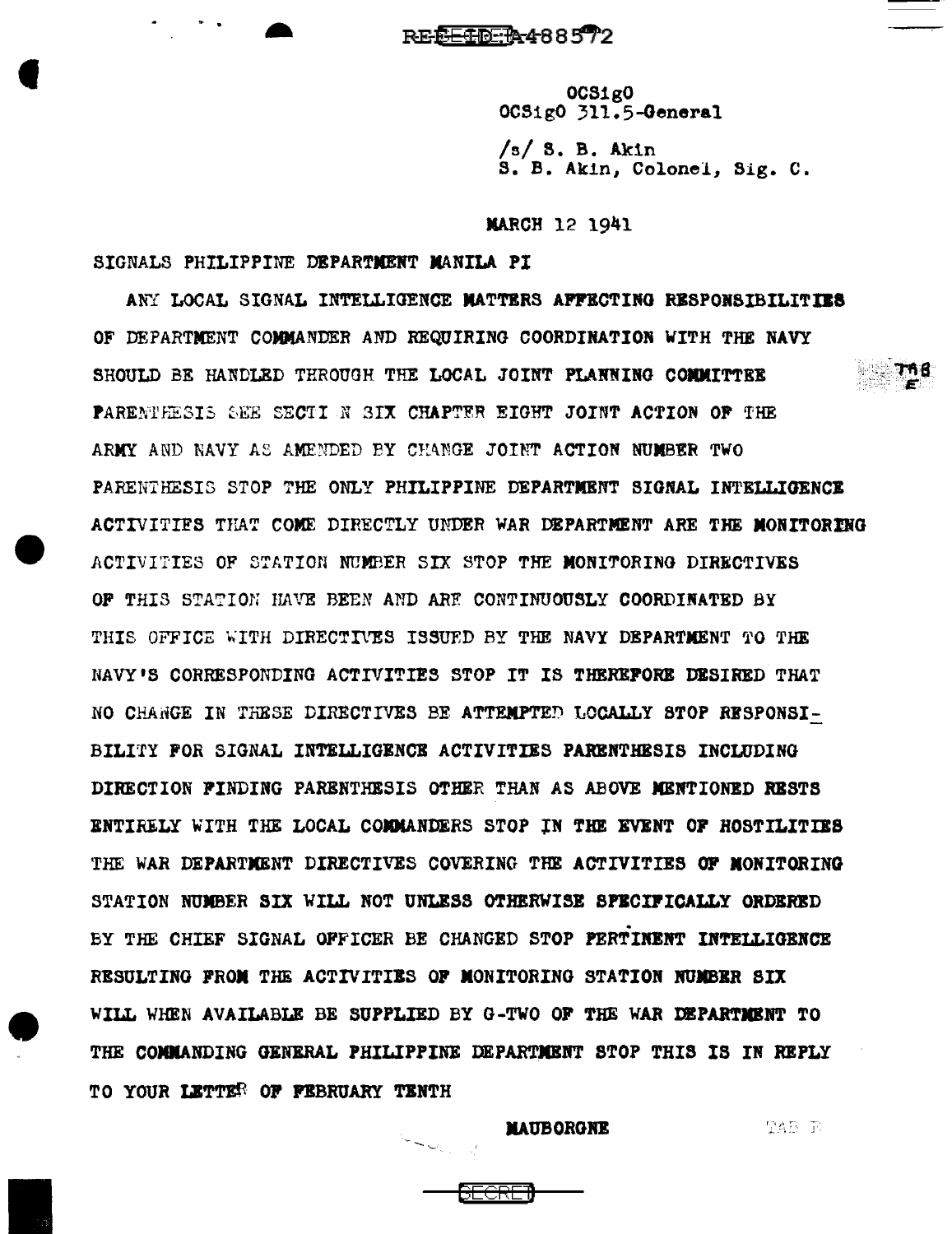REEETR488572

0CS1g0 0CS1g0 311.5-General

 $/s/3$ . B. Akin S. B. Akin, Colonel, Sig. C.

**MARCH 12 1941** 

SIGNALS PHILIPPINE DEPARTMENT MANILA PI

ANY LOCAL SIGNAL INTELLIGENCE MATTERS AFFECTING RESPONSIBILITIES OF DEPARTMENT COMMANDER AND REQUIRING COORDINATION WITH THE NAVY SHOULD BE HANDLED THROUGH THE LOCAL JOINT PLANNING COMMITTER PARENTHESIS SEE SECTI N SIX CHAPTER EIGHT JOINT ACTION OF THE ARMY AND NAVY AS AMENDED BY CHANGE JOINT ACTION NUMBER TWO PARENTHESIS STOP THE ONLY PHILIPPINE DEPARTMENT SIGNAL INTELLIGENCE ACTIVITIES THAT COME DIRECTLY UNDER WAR DEPARTMENT ARE THE MONITORING ACTIVITIES OF STATION NUMBER SIX STOP THE MONITORING DIRECTIVES OF THIS STATION HAVE BEEN AND ARE CONTINUOUSLY COORDINATED BY THIS OFFICE WITH DIRECTIVES ISSUED BY THE NAVY DEPARTMENT TO THE NAVY'S CORRESPONDING ACTIVITIES STOP IT IS THEREFORE DESIRED THAT NO CHANGE IN THESE DIRECTIVES BE ATTEMPTED LOCALLY STOP RESPONSI-BILITY FOR SIGNAL INTELLIGENCE ACTIVITIES PARENTHESIS INCLUDING DIRECTION FINDING PARENTHESIS OTHER THAN AS ABOVE MENTIONED RESTS ENTIRELY WITH THE LOCAL COMMANDERS STOP IN THE EVENT OF HOSTILITIES THE WAR DEPARTMENT DIRECTIVES COVERING THE ACTIVITIES OF MONITORING STATION NUMBER SIX WILL NOT UNLESS OTHERWISE SPECIFICALLY ORDERED BY THE CHIEF SIGNAL OFFICER BE CHANGED STOP PERTINENT INTELLIGENCE RESULTING FROM THE ACTIVITIES OF MONITORING STATION NUMBER SIX WILL WHEN AVAILABLE BE SUPPLIED BY G-TWO OF THE WAR DEPARTMENT TO THE COMMANDING GENERAL PHILIPPINE DEPARTMENT STOP THIS IS IN REPLY TO YOUR LETTER OF FEBRUARY TENTH

**MAUBORGNE** 

TAB R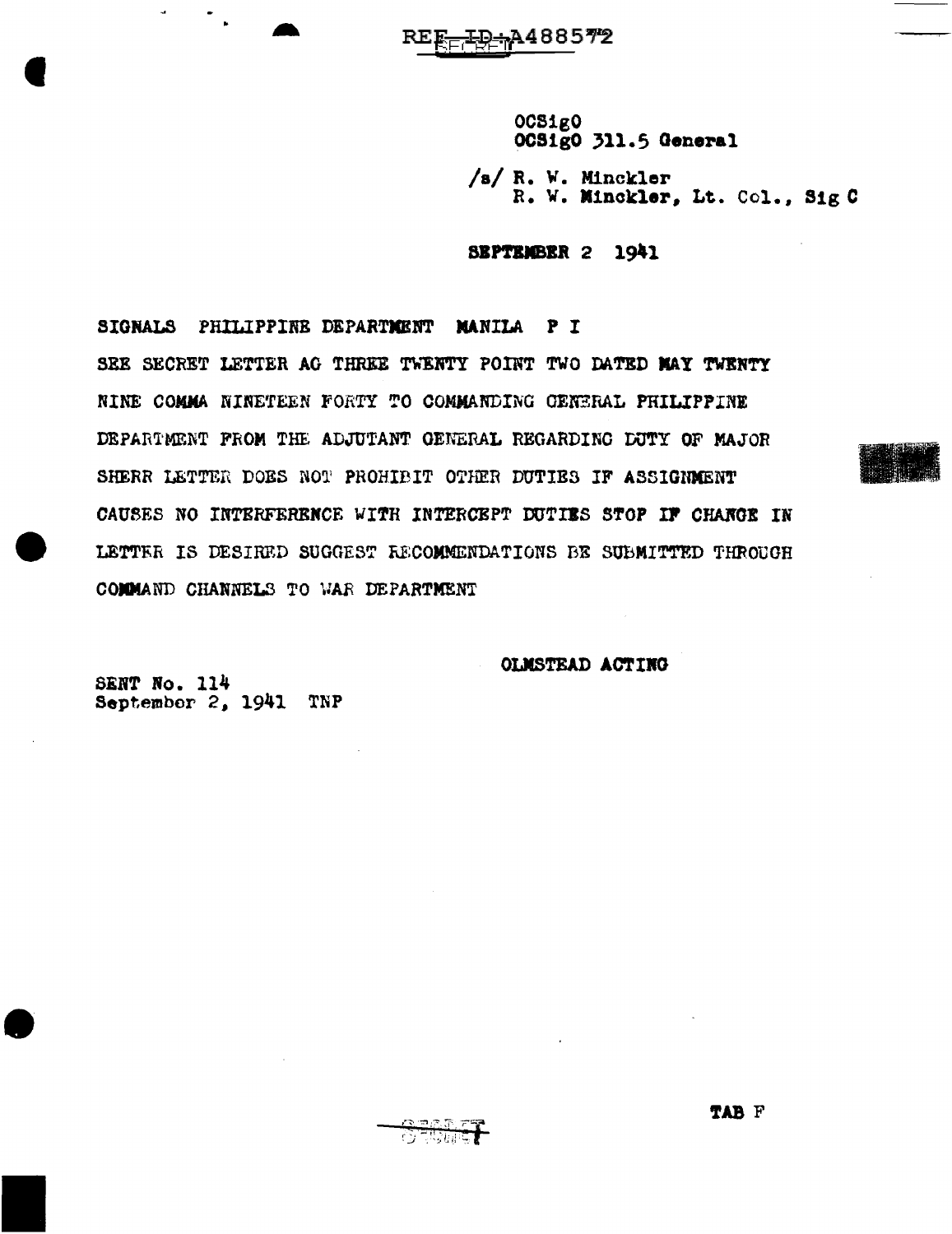OCSigO OCSigO 311.5 General

/s/ R. W. Minckler R. W. Minckler, Lt. Col., Sig C

SEPTEMBER 2 1941

SIGNALS PHILIPPINE DEPARTMENT NANILA PI<sup></sup> SEE SECRET LETTER AG THREE TWENTY POINT TWO DATED MAY TWENTY NINE COMMA NINETEEN FORTY TO COMMANDING GENERAL PHILIPPINE DEPARTMENT FROM THE ADJUTANT GENERAL REGARDING DUTY OF MAJOR SHERR LETTER DOES NOT PROHIBIT OTHER DUTIES IF ASSIGNMENT CAUSES NO INTERFERENCE WITH INTERCEPT DUTIES STOP IF CHANGE IN LETTER IS DESIRED SUGGEST RECOMMENDATIONS BE SUBMITTED THROUGH COMMAND CHANNELS TO WAR DEPARTMENT

OLMSTEAD ACTING

SENT No. 114 September 2, 1941 TNP

 $\Delta$